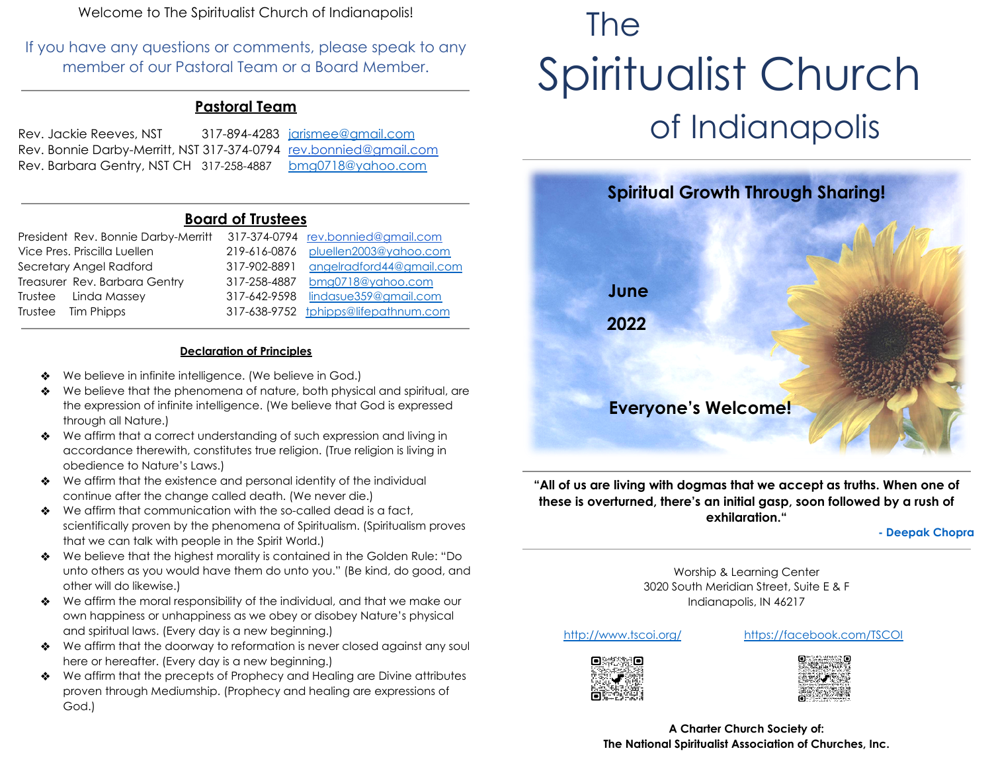Welcome to The Spiritualist Church of Indianapolis!

If you have any questions or comments, please speak to any member of our Pastoral Team or a Board Member.

### **Pastoral Team**

| Rev. Jackie Reeves, NST                                           | 317-894-4283 jarismee@gmail.com |
|-------------------------------------------------------------------|---------------------------------|
| Rev. Bonnie Darby-Merritt, NST 317-374-0794 rev.bonnied@gmail.com |                                 |
| Rev. Barbara Gentry, NST CH 317-258-4887                          | <u>bmg0718@yahoo.com</u>        |

#### **Board of Trustees**

| President Rev. Bonnie Darby-Merritt |              | 317-374-0794 rev.bonnied@gmail.com   |
|-------------------------------------|--------------|--------------------------------------|
| Vice Pres. Priscilla Luellen        | 219-616-0876 | pluellen2003@yahoo.com               |
| Secretary Angel Radford             | 317-902-8891 | angelradford44@gmail.com             |
| Treasurer Rev. Barbara Gentry       | 317-258-4887 | bmg0718@yahoo.com                    |
| Trustee Linda Massey                | 317-642-9598 | lindasue359@gmail.com                |
| Trustee Tim Phipps                  |              | 317-638-9752 tphipps@lifepathnum.com |

#### **Declaration of Principles**

- We believe in infinite intelligence. (We believe in God.)
- ❖ We believe that the phenomena of nature, both physical and spiritual, are the expression of infinite intelligence. (We believe that God is expressed through all Nature.)
- ❖ We affirm that a correct understanding of such expression and living in accordance therewith, constitutes true religion. (True religion is living in obedience to Nature's Laws.)
- ❖ We affirm that the existence and personal identity of the individual continue after the change called death. (We never die.)
- ❖ We affirm that communication with the so-called dead is a fact, scientifically proven by the phenomena of Spiritualism. (Spiritualism proves that we can talk with people in the Spirit World.)
- ❖ We believe that the highest morality is contained in the Golden Rule: "Do unto others as you would have them do unto you." (Be kind, do good, and other will do likewise.)
- ❖ We affirm the moral responsibility of the individual, and that we make our own happiness or unhappiness as we obey or disobey Nature's physical and spiritual laws. (Every day is a new beginning.)
- ❖ We affirm that the doorway to reformation is never closed against any soul here or hereafter. (Every day is a new beginning.)
- ❖ We affirm that the precepts of Prophecy and Healing are Divine attributes proven through Mediumship. (Prophecy and healing are expressions of God.)

# The Spiritualist Church of Indianapolis



**"All of us are living with dogmas that we accept as truths. When one of these is overturned, there's an initial gasp, soon followed by a rush of exhilaration."**

**- Deepak Chopra**

Worship & Learning Center 3020 South Meridian Street, Suite E & F Indianapolis, IN 46217

<http://www.tscoi.org/> <https://facebook.com/TSCOI>





**A Charter Church Society of: The National Spiritualist Association of Churches, Inc.**